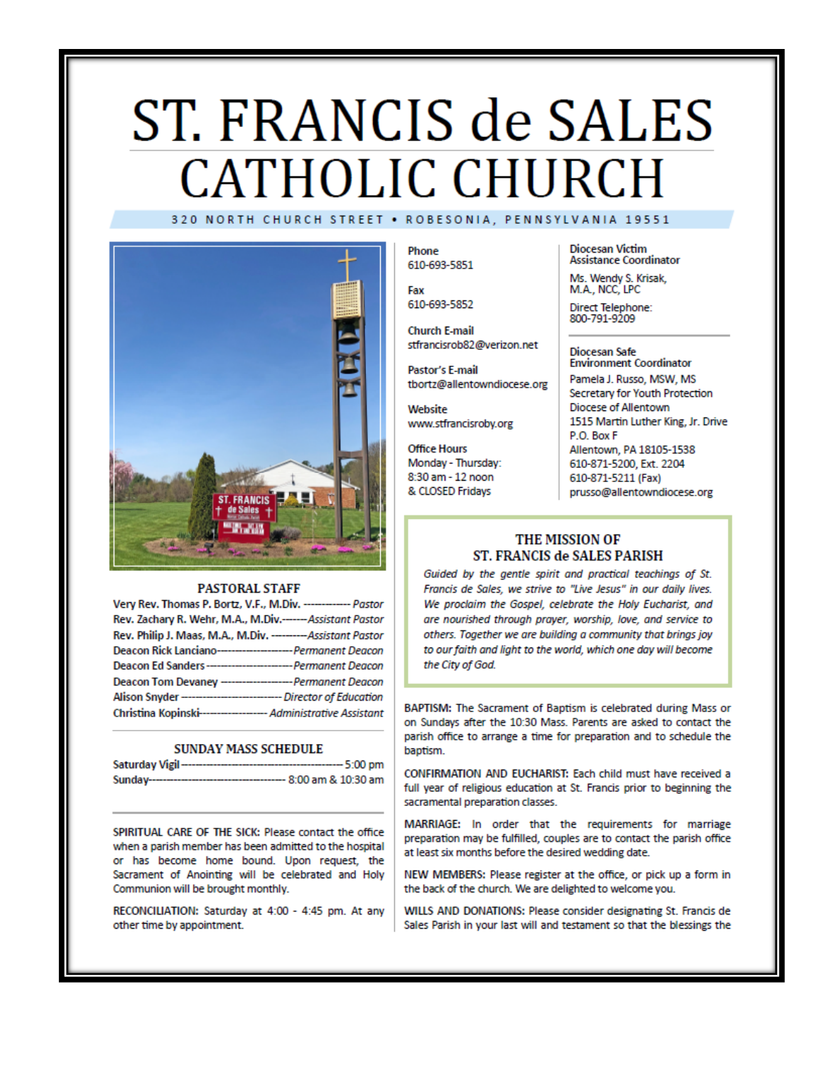# ST. FRANCIS de SALES **CATHOLIC CHURCH** 320 NORTH CHURCH STREET . ROBESONIA, PENNSYLVANIA 19551



#### **PASTORAL STAFF**

| Very Rev. Thomas P. Bortz, V.F., M.Div. ------------- Pastor        |  |
|---------------------------------------------------------------------|--|
| Rev. Zachary R. Wehr, M.A., M.Div.------Assistant Pastor            |  |
| Rev. Philip J. Maas, M.A., M.Div. --------- Assistant Pastor        |  |
| Deacon Rick Lanciano----------------------- Permanent Deacon        |  |
| Deacon Ed Sanders---------------------------- Permanent Deacon      |  |
| Deacon Tom Devaney --------------------- Permanent Deacon           |  |
| Alison Snyder ------------------------------- Director of Education |  |
| Christina Kopinski------------------- Administrative Assistant      |  |

#### **SUNDAY MASS SCHEDULE**

| Saturday Vigil-<br>------------------------ | ---- 5:00 pm           |
|---------------------------------------------|------------------------|
| Sunday--------------------------            | --- 8:00 am & 10:30 am |

SPIRITUAL CARE OF THE SICK: Please contact the office when a parish member has been admitted to the hospital or has become home bound. Upon request, the Sacrament of Anointing will be celebrated and Holy Communion will be brought monthly.

RECONCILIATION: Saturday at 4:00 - 4:45 pm. At any other time by appointment.

Phone 610-693-5851

Fax 610-693-5852

**Church E-mail** stfrancisrob82@verizon.net

Pastor's E-mail tbortz@allentowndiocese.org

Website www.stfrancisroby.org

**Office Hours** Monday - Thursday: 8:30 am - 12 noon & CLOSED Fridays

**Diocesan Victim Assistance Coordinator** 

Ms. Wendy S. Krisak, M.A., NCC, LPC

Direct Telephone:<br>800-791-9209

#### **Diocesan Safe Environment Coordinator**

Pamela J. Russo, MSW, MS Secretary for Youth Protection Diocese of Allentown 1515 Martin Luther King, Jr. Drive P.O. Box F Allentown, PA 18105-1538 610-871-5200, Ext. 2204 610-871-5211 (Fax) prusso@allentowndiocese.org

### THE MISSION OF ST. FRANCIS de SALES PARISH

Guided by the gentle spirit and practical teachings of St. Francis de Sales, we strive to "Live Jesus" in our daily lives. We proclaim the Gospel, celebrate the Holy Eucharist, and are nourished through prayer, worship, love, and service to others. Together we are building a community that brings joy to our faith and light to the world, which one day will become the City of God.

BAPTISM: The Sacrament of Baptism is celebrated during Mass or on Sundays after the 10:30 Mass. Parents are asked to contact the parish office to arrange a time for preparation and to schedule the baptism.

CONFIRMATION AND EUCHARIST: Each child must have received a full year of religious education at St. Francis prior to beginning the sacramental preparation classes.

MARRIAGE: In order that the requirements for marriage preparation may be fulfilled, couples are to contact the parish office at least six months before the desired wedding date.

NEW MEMBERS: Please register at the office, or pick up a form in the back of the church. We are delighted to welcome you.

WILLS AND DONATIONS: Please consider designating St. Francis de Sales Parish in your last will and testament so that the blessings the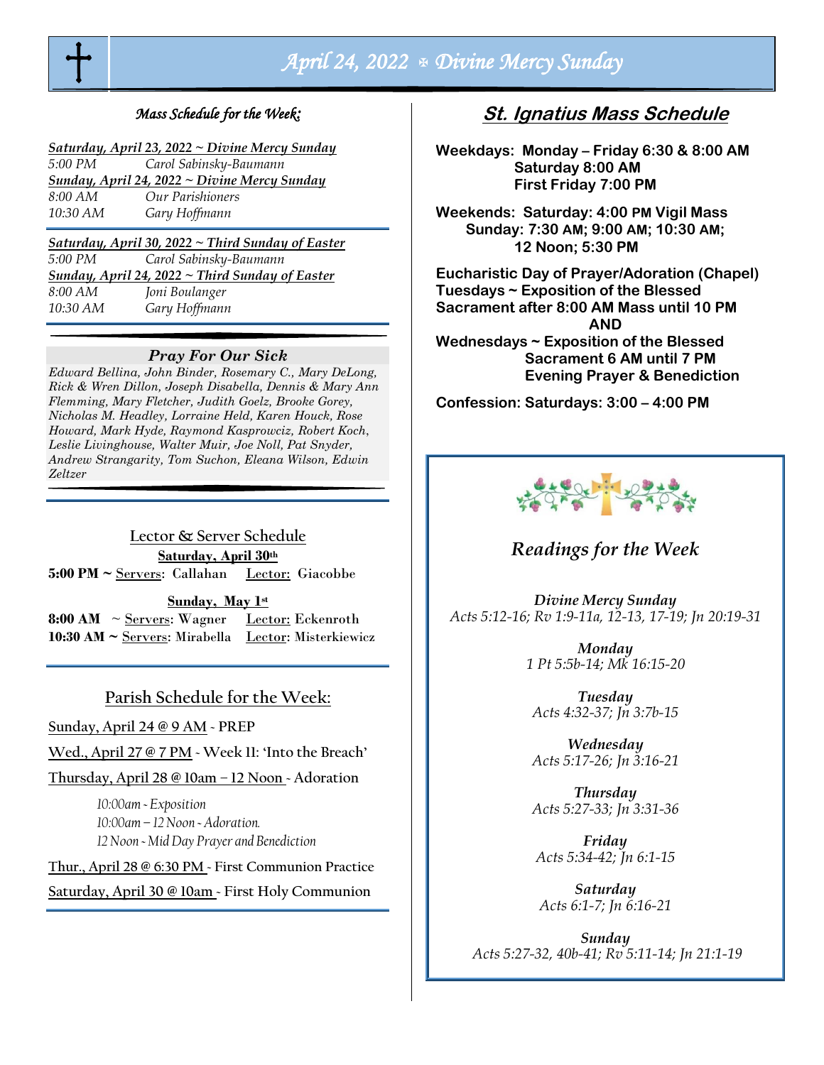

# *April 24, 2022 Divine Mercy Sunday*

## *Mass Schedule for the Week:*

|            | Saturday, April 23, 2022 ~ Divine Mercy Sunday    |
|------------|---------------------------------------------------|
| 5:00 PM    | Carol Sabinsky-Baumann                            |
|            | Sunday, April 24, 2022 $\sim$ Divine Mercy Sunday |
| 8:00 AM    | Our Parishioners                                  |
| $10:30$ AM | Gary Hoffmann                                     |

*Saturday, April 30, 2022 ~ Third Sunday of Easter 5:00 PM Carol Sabinsky-Baumann Sunday, April 24, 2022 ~ Third Sunday of Easter 8:00 AM Joni Boulanger 10:30 AM Gary Hoffmann*

#### *Pray For Our Sick*

*Edward Bellina, John Binder, Rosemary C., Mary DeLong, Rick & Wren Dillon, Joseph Disabella, Dennis & Mary Ann Flemming, Mary Fletcher, Judith Goelz, Brooke Gorey, Nicholas M. Headley, Lorraine Held, Karen Houck, Rose Howard, Mark Hyde, Raymond Kasprowciz, Robert Koch*, *Leslie Livinghouse, Walter Muir, Joe Noll, Pat Snyder, Andrew Strangarity, Tom Suchon, Eleana Wilson, Edwin Zeltzer*

**Lector & Server Schedule Saturday, April 30th 5:00 PM ~** Servers: Callahan Lector: Giacobbe

**Sunday, May 1st**  8:00 AM  $\sim$  Servers: Wagner Lector: Eckenroth **10:30 AM ~** Servers: Mirabella Lector: Misterkiewicz

## **Parish Schedule for the Week:**

**Sunday, April 24 @ 9 AM ~ PREP** 

**Wed., April 27 @ 7 PM ~ Week 11: 'Into the Breach'** 

**Thursday, April 28 @ 10am – 12 Noon ~ Adoration**

*10:00am ~ Exposition 10:00am – 12 Noon ~ Adoration. 12 Noon ~ Mid Day Prayer and Benediction* 

**Thur., April 28 @ 6:30 PM ~ First Communion Practice Saturday, April 30 @ 10am ~ First Holy Communion**

# **St. Ignatius Mass Schedule**

**Weekdays: Monday – Friday 6:30 & 8:00 AM Saturday 8:00 AM First Friday 7:00 PM** 

**Weekends: Saturday: 4:00 PM Vigil Mass Sunday: 7:30 AM; 9:00 AM; 10:30 AM; 12 Noon; 5:30 PM** 

**Eucharistic Day of Prayer/Adoration (Chapel) Tuesdays ~ Exposition of the Blessed Sacrament after 8:00 AM Mass until 10 PM AND Wednesdays ~ Exposition of the Blessed Sacrament 6 AM until 7 PM Evening Prayer & Benediction**

**Confession: Saturdays: 3:00 – 4:00 PM** 



# *Readings for the Week*

*Divine Mercy Sunday Acts 5:12-16; Rv 1:9-11a, 12-13, 17-19; Jn 20:19-31* 

> *Monday 1 Pt 5:5b-14; Mk 16:15-20*

*Tuesday Acts 4:32-37; Jn 3:7b-15*

*Wednesday Acts 5:17-26; Jn 3:16-21*

*Thursday Acts 5:27-33; Jn 3:31-36*

*Friday Acts 5:34-42; Jn 6:1-15*

*Saturday Acts 6:1-7; Jn 6:16-21*

*Sunday Acts 5:27-32, 40b-41; Rv 5:11-14; Jn 21:1-19*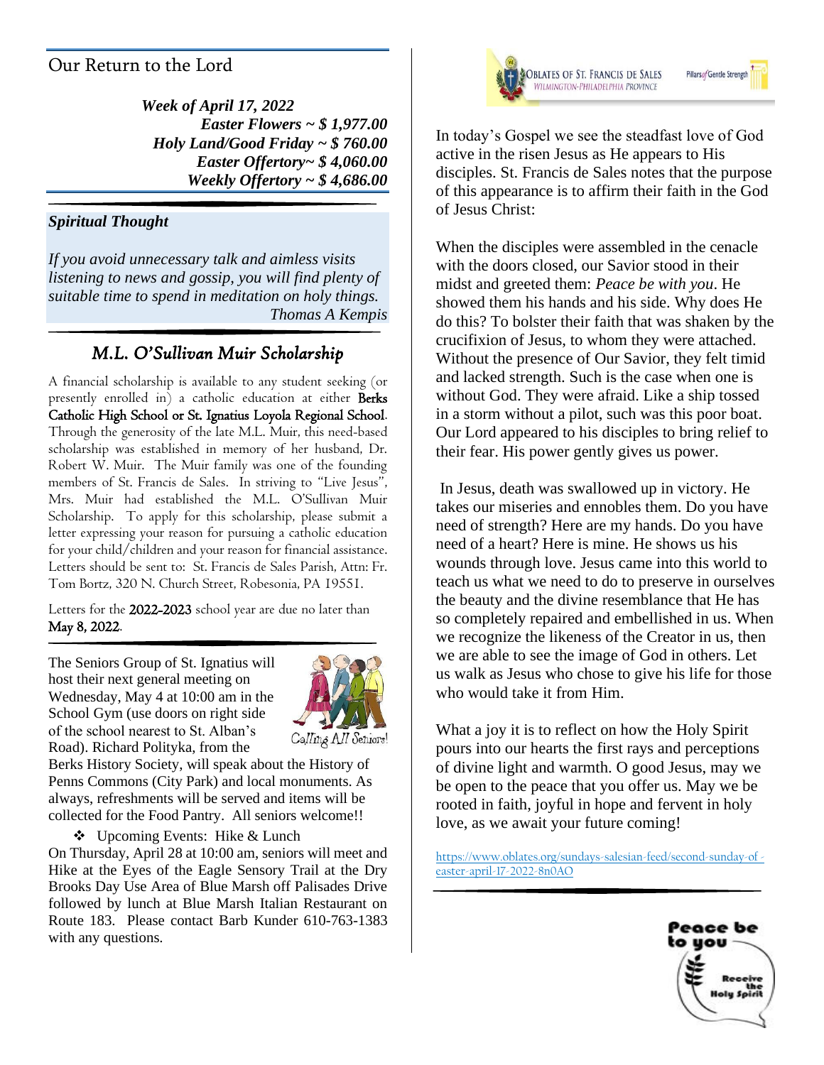# Our Return to the Lord

*Week of April 17, 2022 Easter Flowers ~ \$ 1,977.00 Holy Land/Good Friday ~ \$ 760.00 Easter Offertory~ \$ 4,060.00 Weekly Offertory ~ \$ 4,686.00*

## *Spiritual Thought*

*If you avoid unnecessary talk and aimless visits listening to news and gossip, you will find plenty of suitable time to spend in meditation on holy things. Thomas A Kempis*

# *M.L. O'Sullivan Muir Scholarship*

A financial scholarship is available to any student seeking (or presently enrolled in) a catholic education at either Berks Catholic High School or St. Ignatius Loyola Regional School. Through the generosity of the late M.L. Muir, this need-based scholarship was established in memory of her husband, Dr. Robert W. Muir. The Muir family was one of the founding members of St. Francis de Sales. In striving to "Live Jesus", Mrs. Muir had established the M.L. O'Sullivan Muir Scholarship. To apply for this scholarship, please submit a letter expressing your reason for pursuing a catholic education for your child/children and your reason for financial assistance. Letters should be sent to: St. Francis de Sales Parish, Attn: Fr. Tom Bortz, 320 N. Church Street, Robesonia, PA 19551.

Letters for the 2022-2023 school year are due no later than May 8, 2022.

The Seniors Group of St. Ignatius will host their next general meeting on Wednesday, May 4 at 10:00 am in the School Gym (use doors on right side of the school nearest to St. Alban's Road). Richard Polityka, from the



Berks History Society, will speak about the History of Penns Commons (City Park) and local monuments. As always, refreshments will be served and items will be collected for the Food Pantry. All seniors welcome!!

❖ Upcoming Events: Hike & Lunch

On Thursday, April 28 at 10:00 am, seniors will meet and Hike at the Eyes of the Eagle Sensory Trail at the Dry Brooks Day Use Area of Blue Marsh off Palisades Drive followed by lunch at Blue Marsh Italian Restaurant on Route 183. Please contact Barb Kunder 610-763-1383 with any questions.



Pillars of Gentle Strengt

In today's Gospel we see the steadfast love of God active in the risen Jesus as He appears to His disciples. St. Francis de Sales notes that the purpose of this appearance is to affirm their faith in the God of Jesus Christ:

When the disciples were assembled in the cenacle with the doors closed, our Savior stood in their midst and greeted them: *Peace be with you*. He showed them his hands and his side. Why does He do this? To bolster their faith that was shaken by the crucifixion of Jesus, to whom they were attached. Without the presence of Our Savior, they felt timid and lacked strength. Such is the case when one is without God. They were afraid. Like a ship tossed in a storm without a pilot, such was this poor boat. Our Lord appeared to his disciples to bring relief to their fear. His power gently gives us power.

In Jesus, death was swallowed up in victory. He takes our miseries and ennobles them. Do you have need of strength? Here are my hands. Do you have need of a heart? Here is mine. He shows us his wounds through love. Jesus came into this world to teach us what we need to do to preserve in ourselves the beauty and the divine resemblance that He has so completely repaired and embellished in us. When we recognize the likeness of the Creator in us, then we are able to see the image of God in others. Let us walk as Jesus who chose to give his life for those who would take it from Him.

What a joy it is to reflect on how the Holy Spirit pours into our hearts the first rays and perceptions of divine light and warmth. O good Jesus, may we be open to the peace that you offer us. May we be rooted in faith, joyful in hope and fervent in holy love, as we await your future coming!

[https://www.oblates.org/sundays-salesian-feed/second-sunday-of](https://www.oblates.org/sundays-salesian-feed/second-sunday-of%20-easter-april-17-2022)  [easter-april-17-2022-](https://www.oblates.org/sundays-salesian-feed/second-sunday-of%20-easter-april-17-2022)8n0AO